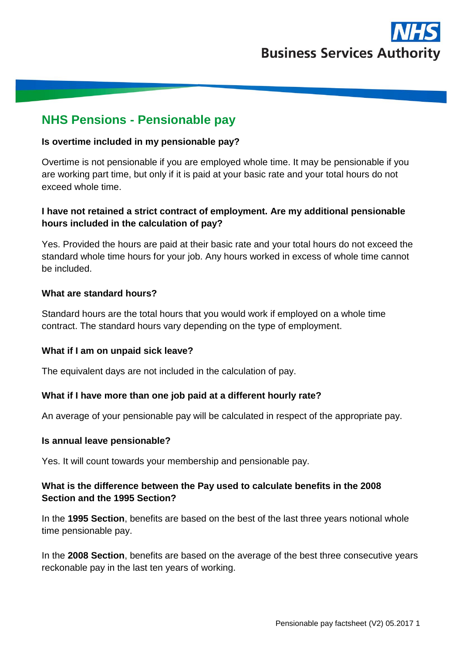

# **NHS Pensions - Pensionable pay**

### **Is overtime included in my pensionable pay?**

Overtime is not pensionable if you are employed whole time. It may be pensionable if you are working part time, but only if it is paid at your basic rate and your total hours do not exceed whole time.

## **I have not retained a strict contract of employment. Are my additional pensionable hours included in the calculation of pay?**

Yes. Provided the hours are paid at their basic rate and your total hours do not exceed the standard whole time hours for your job. Any hours worked in excess of whole time cannot be included.

## **What are standard hours?**

Standard hours are the total hours that you would work if employed on a whole time contract. The standard hours vary depending on the type of employment.

#### **What if I am on unpaid sick leave?**

The equivalent days are not included in the calculation of pay.

#### **What if I have more than one job paid at a different hourly rate?**

An average of your pensionable pay will be calculated in respect of the appropriate pay.

#### **Is annual leave pensionable?**

Yes. It will count towards your membership and pensionable pay.

## **What is the difference between the Pay used to calculate benefits in the 2008 Section and the 1995 Section?**

In the **1995 Section**, benefits are based on the best of the last three years notional whole time pensionable pay.

In the **2008 Section**, benefits are based on the average of the best three consecutive years reckonable pay in the last ten years of working.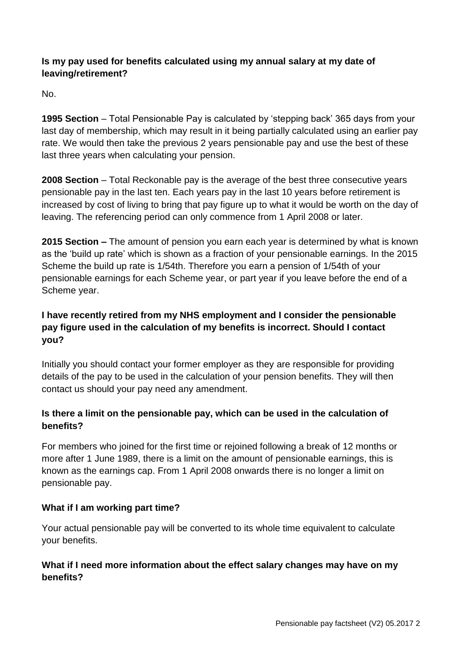## **Is my pay used for benefits calculated using my annual salary at my date of leaving/retirement?**

No.

**1995 Section** – Total Pensionable Pay is calculated by 'stepping back' 365 days from your last day of membership, which may result in it being partially calculated using an earlier pay rate. We would then take the previous 2 years pensionable pay and use the best of these last three years when calculating your pension.

**2008 Section** – Total Reckonable pay is the average of the best three consecutive years pensionable pay in the last ten. Each years pay in the last 10 years before retirement is increased by cost of living to bring that pay figure up to what it would be worth on the day of leaving. The referencing period can only commence from 1 April 2008 or later.

**2015 Section –** The amount of pension you earn each year is determined by what is known as the 'build up rate' which is shown as a fraction of your pensionable earnings. In the 2015 Scheme the build up rate is 1/54th. Therefore you earn a pension of 1/54th of your pensionable earnings for each Scheme year, or part year if you leave before the end of a Scheme year.

# **I have recently retired from my NHS employment and I consider the pensionable pay figure used in the calculation of my benefits is incorrect. Should I contact you?**

Initially you should contact your former employer as they are responsible for providing details of the pay to be used in the calculation of your pension benefits. They will then contact us should your pay need any amendment.

# **Is there a limit on the pensionable pay, which can be used in the calculation of benefits?**

For members who joined for the first time or rejoined following a break of 12 months or more after 1 June 1989, there is a limit on the amount of pensionable earnings, this is known as the earnings cap. From 1 April 2008 onwards there is no longer a limit on pensionable pay.

# **What if I am working part time?**

Your actual pensionable pay will be converted to its whole time equivalent to calculate your benefits.

# **What if I need more information about the effect salary changes may have on my benefits?**